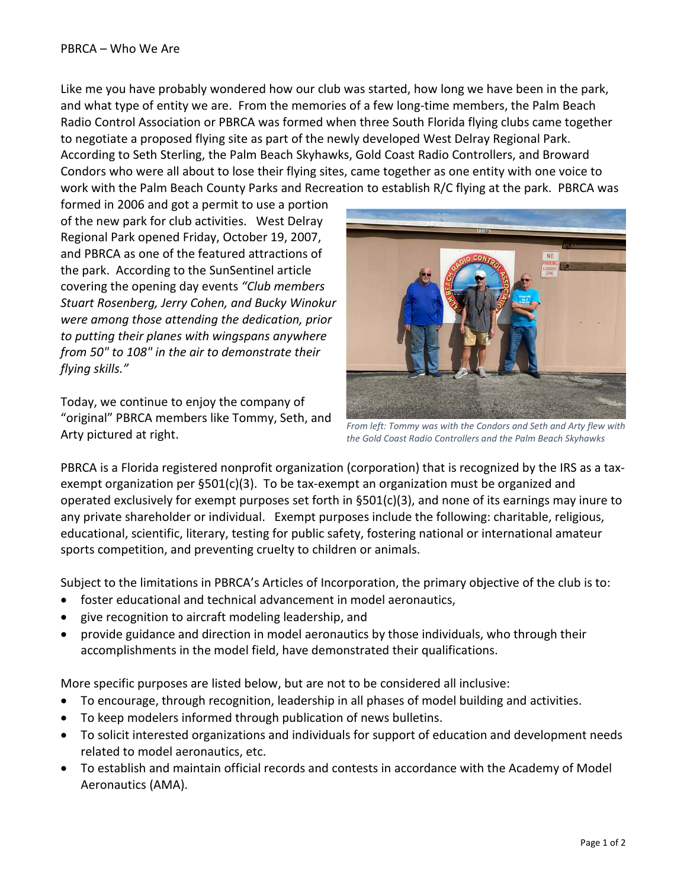Like me you have probably wondered how our club was started, how long we have been in the park, and what type of entity we are. From the memories of a few long-time members, the Palm Beach Radio Control Association or PBRCA was formed when three South Florida flying clubs came together to negotiate a proposed flying site as part of the newly developed West Delray Regional Park. According to Seth Sterling, the Palm Beach Skyhawks, Gold Coast Radio Controllers, and Broward Condors who were all about to lose their flying sites, came together as one entity with one voice to work with the Palm Beach County Parks and Recreation to establish R/C flying at the park. PBRCA was

formed in 2006 and got a permit to use a portion of the new park for club activities. West Delray Regional Park opened Friday, October 19, 2007, and PBRCA as one of the featured attractions of the park. According to the SunSentinel article covering the opening day events *"Club members Stuart Rosenberg, Jerry Cohen, and Bucky Winokur were among those attending the dedication, prior to putting their planes with wingspans anywhere from 50" to 108" in the air to demonstrate their flying skills."*

Today, we continue to enjoy the company of "original" PBRCA members like Tommy, Seth, and Arty pictured at right.



*From left: Tommy was with the Condors and Seth and Arty flew with the Gold Coast Radio Controllers and the Palm Beach Skyhawks* 

PBRCA is a Florida registered nonprofit organization (corporation) that is recognized by the IRS as a taxexempt organization per §501(c)(3). To be tax-exempt an organization must be organized and operated exclusively for exempt purposes set forth in  $\S501(c)(3)$ , and none of its earnings may inure to any private shareholder or individual. Exempt purposes include the following: charitable, religious, educational, scientific, literary, testing for public safety, fostering national or international amateur sports competition, and preventing cruelty to children or animals.

Subject to the limitations in PBRCA's Articles of Incorporation, the primary objective of the club is to:

- foster educational and technical advancement in model aeronautics,
- give recognition to aircraft modeling leadership, and
- provide guidance and direction in model aeronautics by those individuals, who through their accomplishments in the model field, have demonstrated their qualifications.

More specific purposes are listed below, but are not to be considered all inclusive:

- To encourage, through recognition, leadership in all phases of model building and activities.
- To keep modelers informed through publication of news bulletins.
- To solicit interested organizations and individuals for support of education and development needs related to model aeronautics, etc.
- To establish and maintain official records and contests in accordance with the Academy of Model Aeronautics (AMA).